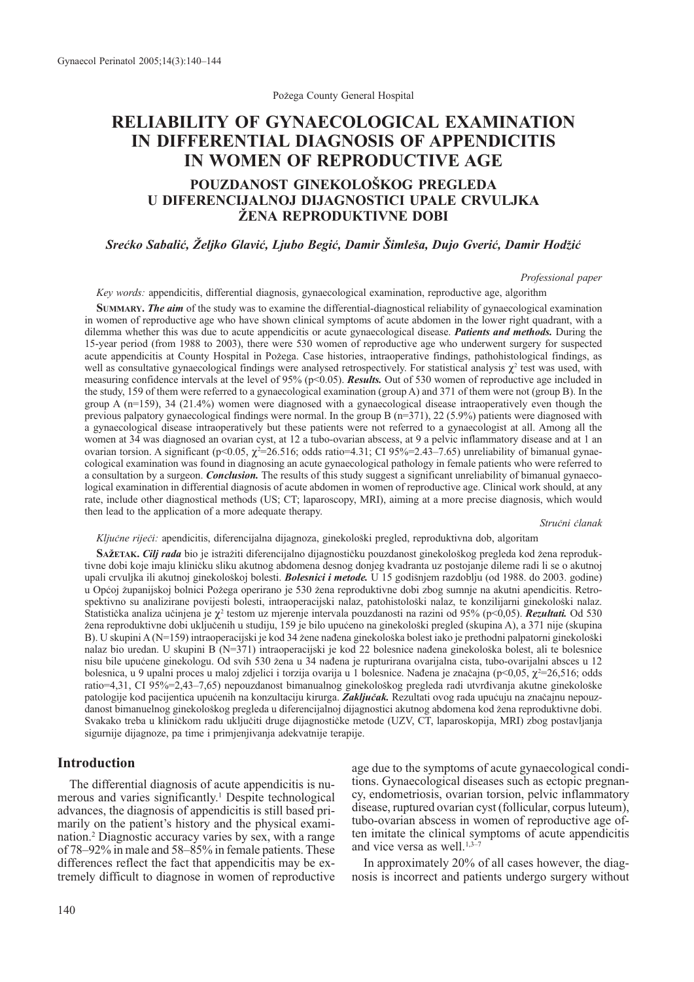Požega County General Hospital

# **RELIABILITY OF GYNAECOLOGICAL EXAMINATION IN DIFFERENTIAL DIAGNOSIS OF APPENDICITIS IN WOMEN OF REPRODUCTIVE AGE**

# POUZDANOST GINEKOLOŠKOG PREGLEDA **U DIFERENCIJALNOJ DIJAGNOSTICI UPALE CRVULJKA @ENA REPRODUKTIVNE DOBI**

### *Sre}ko Sabali}, @eljko Glavi}, Ljubo Begi}, Damir [imle{a, Dujo Gveri}, Damir Hod'i}*

*Professional paper*

*Key words:* appendicitis, differential diagnosis, gynaecological examination, reproductive age, algorithm

**SUMMARY.** *The aim* of the study was to examine the differential-diagnostical reliability of gynaecological examination in women of reproductive age who have shown clinical symptoms of acute abdomen in the lower right quadrant, with a dilemma whether this was due to acute appendicitis or acute gynaecological disease. *Patients and methods.* During the 15-year period (from 1988 to 2003), there were 530 women of reproductive age who underwent surgery for suspected acute appendicitis at County Hospital in Požega. Case histories, intraoperative findings, pathohistological findings, as well as consultative gynaecological findings were analysed retrospectively. For statistical analysis  $\chi^2$  test was used, with measuring confidence intervals at the level of 95% (p<0.05). *Results*. Out of 530 women of reproductive age included in the study, 159 of them were referred to a gynaecological examination (group A) and 371 of them were not (group B). In the group A (n=159), 34 (21.4%) women were diagnosed with a gynaecological disease intraoperatively even though the previous palpatory gynaecological findings were normal. In the group B  $(n=371)$ , 22 (5.9%) patients were diagnosed with a gynaecological disease intraoperatively but these patients were not referred to a gynaecologist at all. Among all the women at 34 was diagnosed an ovarian cyst, at 12 a tubo-ovarian abscess, at 9 a pelvic inflammatory disease and at 1 an ovarian torsion. A significant (p<0.05,  $\chi^2$ =26.516; odds ratio=4.31; CI 95%=2.43–7.65) unreliability of bimanual gynaecological examination was found in diagnosing an acute gynaecological pathology in female patients who were referred to a consultation by a surgeon. *Conclusion.* The results of this study suggest a significant unreliability of bimanual gynaecological examination in differential diagnosis of acute abdomen in women of reproductive age. Clinical work should, at any rate, include other diagnostical methods (US; CT; laparoscopy, MRI), aiming at a more precise diagnosis, which would then lead to the application of a more adequate therapy.

*Stru~ni ~lanak*

*Ključne riječi:* apendicitis, diferencijalna dijagnoza, ginekološki pregled, reproduktivna dob, algoritam

**SAŽETAK.** *Cilj rada* bio je istražiti diferencijalno dijagnostičku pouzdanost ginekološkog pregleda kod žena reproduktivne dobi koje imaju kliničku sliku akutnog abdomena desnog donjeg kvadranta uz postojanje dileme radi li se o akutnoj upali crvuljka ili akutnoj ginekološkoj bolesti. *Bolesnici i metode*. U 15 godišnjem razdoblju (od 1988. do 2003. godine) u Općoj županijskoj bolnici Požega operirano je 530 žena reproduktivne dobi zbog sumnje na akutni apendicitis. Retrospektivno su analizirane povijesti bolesti, intraoperacijski nalaz, patohistološki nalaz, te konzilijarni ginekološki nalaz. Statistička analiza učinjena je χ<sup>2</sup> testom uz mjerenje intervala pouzdanosti na razini od 95% (p<0,05). *Rezultati*. Od 530 žena reproduktivne dobi uključenih u studiju, 159 je bilo upućeno na ginekološki pregled (skupina A), a 371 nije (skupina B). U skupini A ( $N=159$ ) intraoperacijski je kod 34 žene nađena ginekološka bolest iako je prethodni palpatorni ginekološki nalaz bio uredan. U skupini B (N=371) intraoperacijski je kod 22 bolesnice nađena ginekološka bolest, ali te bolesnice nisu bile upućene ginekologu. Od svih 530 žena u 34 nađena je rupturirana ovarijalna cista, tubo-ovarijalni absces u 12 bolesnica, u 9 upalni proces u maloj zdjelici i torzija ovarija u 1 bolesnice. Nađena je značajna (p<0,05,  $\chi^2$ =26,516; odds ratio=4,31, CI 95%=2,43-7,65) nepouzdanost bimanualnog ginekološkog pregleda radi utvrđivanja akutne ginekološke patologije kod pacijentica upućenih na konzultaciju kirurga. Zaključak. Rezultati ovog rada upućuju na značajnu nepouzdanost bimanuelnog ginekološkog pregleda u diferencijalnoj dijagnostici akutnog abdomena kod žena reproduktivne dobi. Svakako treba u kliničkom radu uključiti druge dijagnostičke metode (UZV, CT, laparoskopija, MRI) zbog postavljanja sigurnije dijagnoze, pa time i primjenjivanja adekvatnije terapije.

## **Introduction**

The differential diagnosis of acute appendicitis is numerous and varies significantly.<sup>1</sup> Despite technological advances, the diagnosis of appendicitis is still based primarily on the patient's history and the physical examination.2 Diagnostic accuracy varies by sex, with a range of 78–92% in male and 58–85% in female patients. These differences reflect the fact that appendicitis may be extremely difficult to diagnose in women of reproductive

age due to the symptoms of acute gynaecological conditions. Gynaecological diseases such as ectopic pregnancy, endometriosis, ovarian torsion, pelvic inflammatory disease, ruptured ovarian cyst (follicular, corpus luteum), tubo-ovarian abscess in women of reproductive age often imitate the clinical symptoms of acute appendicitis and vice versa as well. $1,3$ <sup> $-7$ </sup>

In approximately 20% of all cases however, the diagnosis is incorrect and patients undergo surgery without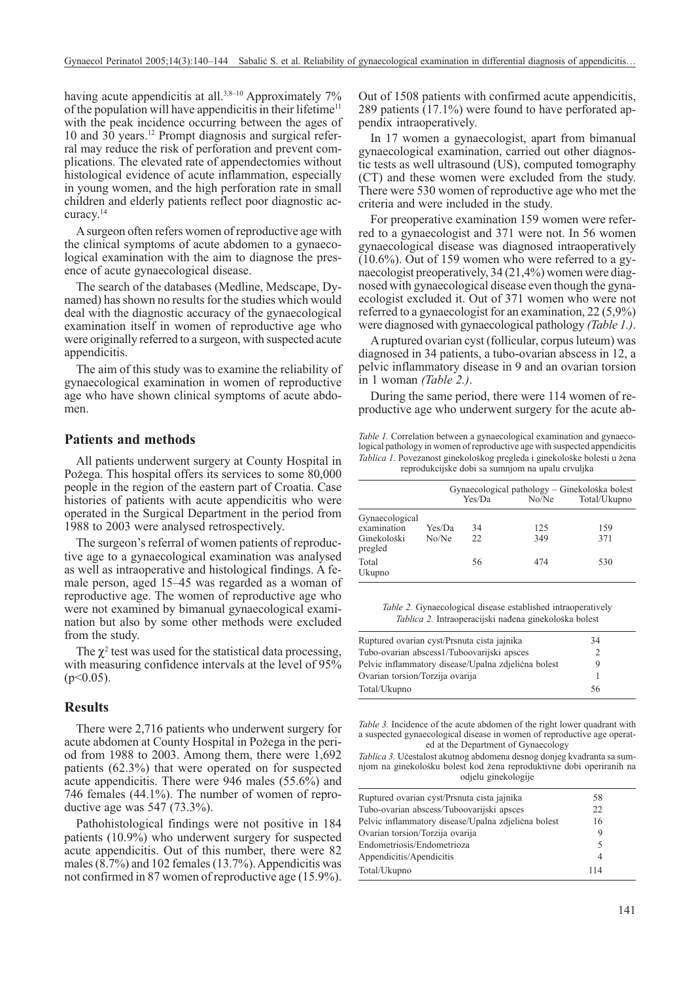having acute appendicitis at all.<sup>3,8-10</sup> Approximately 7% of the population will have appendicitis in their lifetime<sup>11</sup> with the peak incidence occurring between the ages of 10 and 30 years.12 Prompt diagnosis and surgical referral may reduce the risk of perforation and prevent complications. The elevated rate of appendectomies without histological evidence of acute inflammation, especially in young women, and the high perforation rate in small children and elderly patients reflect poor diagnostic accuracy.14

A surgeon often refers women of reproductive age with the clinical symptoms of acute abdomen to a gynaecological examination with the aim to diagnose the presence of acute gynaecological disease.

The search of the databases (Medline, Medscape, Dynamed) has shown no results for the studies which would deal with the diagnostic accuracy of the gynaecological examination itself in women of reproductive age who were originally referred to a surgeon, with suspected acute appendicitis.

The aim of this study was to examine the reliability of gynaecological examination in women of reproductive age who have shown clinical symptoms of acute abdomen.

#### **Patients and methods**

All patients underwent surgery at County Hospital in Požega. This hospital offers its services to some 80,000 people in the region of the eastern part of Croatia. Case histories of patients with acute appendicitis who were operated in the Surgical Department in the period from 1988 to 2003 were analysed retrospectively.

The surgeon's referral of women patients of reproductive age to a gynaecological examination was analysed as well as intraoperative and histological findings. A female person, aged 15–45 was regarded as a woman of reproductive age. The women of reproductive age who were not examined by bimanual gynaecological examination but also by some other methods were excluded from the study.

The  $\chi^2$  test was used for the statistical data processing, with measuring confidence intervals at the level of 95%  $(p<0.05)$ .

#### **Results**

There were 2,716 patients who underwent surgery for acute abdomen at County Hospital in Požega in the period from 1988 to 2003. Among them, there were 1,692 patients (62.3%) that were operated on for suspected acute appendicitis. There were 946 males (55.6%) and 746 females (44.1%). The number of women of reproductive age was 547 (73.3%).

Pathohistological findings were not positive in 184 patients (10.9%) who underwent surgery for suspected acute appendicitis. Out of this number, there were 82 males (8.7%) and 102 females (13.7%). Appendicitis was not confirmed in 87 women of reproductive age (15.9%). Out of 1508 patients with confirmed acute appendicitis, 289 patients (17.1%) were found to have perforated appendix intraoperatively.

In 17 women a gynaecologist, apart from bimanual gynaecological examination, carried out other diagnostic tests as well ultrasound (US), computed tomography (CT) and these women were excluded from the study. There were 530 women of reproductive age who met the criteria and were included in the study.

For preoperative examination 159 women were referred to a gynaecologist and 371 were not. In 56 women gynaecological disease was diagnosed intraoperatively (10.6%). Out of 159 women who were referred to a gynaecologist preoperatively, 34 (21,4%) women were diagnosed with gynaecological disease even though the gynaecologist excluded it. Out of 371 women who were not referred to a gynaecologist for an examination, 22 (5,9%) were diagnosed with gynaecological pathology *(Table 1.)*.

A ruptured ovarian cyst (follicular, corpus luteum) was diagnosed in 34 patients, a tubo-ovarian abscess in 12, a pelvic inflammatory disease in 9 and an ovarian torsion in 1 woman *(Table 2.)*.

During the same period, there were 114 women of reproductive age who underwent surgery for the acute ab-

*Table 1.* Correlation between a gynaecological examination and gynaecological pathology in women of reproductive age with suspected appendicitis Tablica 1. Povezanost ginekološkog pregleda i ginekološke bolesti u žena reprodukcijske dobi sa sumnjom na upalu crvuljka

|                                                         |                 | Yes/Da    | Gynaecological pathology – Ginekološka bolest<br>No/Ne | Total/Ukupno |
|---------------------------------------------------------|-----------------|-----------|--------------------------------------------------------|--------------|
| Gynaecological<br>examination<br>Ginekološki<br>pregled | Yes/Da<br>No/Ne | 34<br>22. | 125<br>349                                             | 159<br>371   |
| Total<br>Ukupno                                         |                 | 56        | 474                                                    | 530          |

*Table 2.* Gynaecological disease established intraoperatively Tablica 2. Intraoperacijski nađena ginekološka bolest

| Ruptured ovarian cyst/Prsnuta cista jajnika         | 34 |  |
|-----------------------------------------------------|----|--|
| Tubo-ovarian abscess1/Tuboovarijski apsces          |    |  |
| Pelvic inflammatory disease/Upalna zdjelična bolest |    |  |
| Ovarian torsion/Torzija ovarija                     |    |  |
| Total/Ukupno                                        | 56 |  |

*Table 3.* Incidence of the acute abdomen of the right lower quadrant with a suspected gynaecological disease in women of reproductive age operated at the Department of Gynaecology

Tablica 3. Učestalost akutnog abdomena desnog donjeg kvadranta sa sumnjom na ginekološku bolest kod žena reproduktivne dobi operiranih na odjelu ginekologije

| Ruptured ovarian cyst/Prsnuta cista jajnika         | 58  |
|-----------------------------------------------------|-----|
| Tubo-ovarian abscess/Tuboovarijski apsces           | 22  |
| Pelvic inflammatory disease/Upalna zdielična bolest | 16  |
| Ovarian torsion/Torzija ovarija                     |     |
| Endometriosis/Endometrioza                          | 5   |
| Appendicitis/Apendicitis                            | 4   |
| Total/Ukupno                                        | 114 |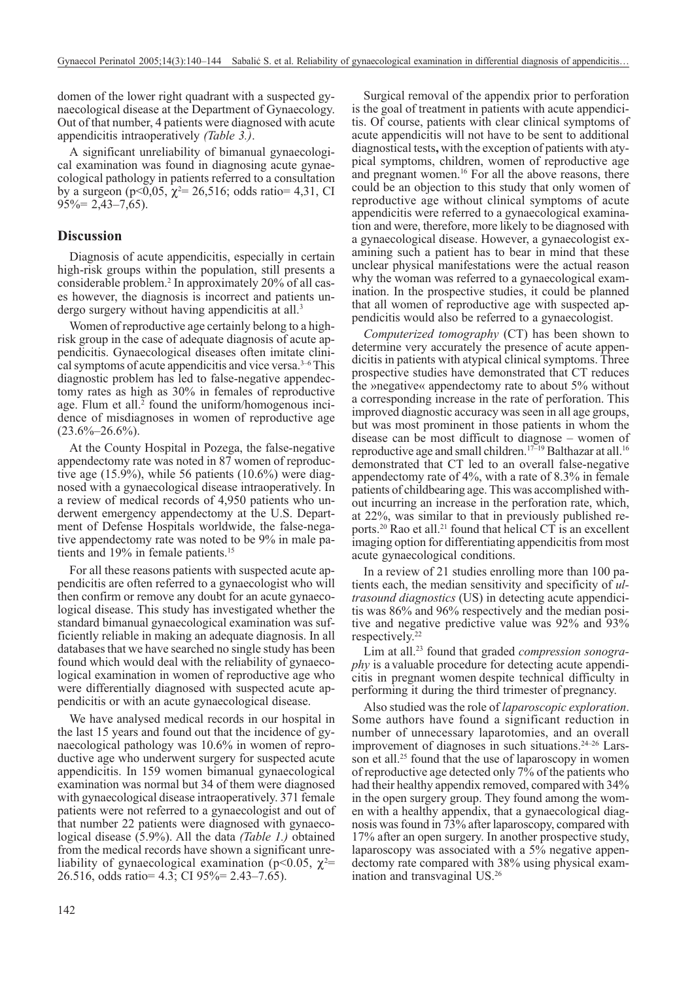domen of the lower right quadrant with a suspected gynaecological disease at the Department of Gynaecology. Out of that number, 4 patients were diagnosed with acute appendicitis intraoperatively *(Table 3.)*.

A significant unreliability of bimanual gynaecological examination was found in diagnosing acute gynaecological pathology in patients referred to a consultation by a surgeon (p<0,05,  $\chi^2$ = 26,516; odds ratio= 4,31, CI  $95\% = 2,43 - 7,65$ .

#### **Discussion**

Diagnosis of acute appendicitis, especially in certain high-risk groups within the population, still presents a considerable problem.2 In approximately 20% of all cases however, the diagnosis is incorrect and patients undergo surgery without having appendicitis at all.<sup>3</sup>

Women of reproductive age certainly belong to a highrisk group in the case of adequate diagnosis of acute appendicitis. Gynaecological diseases often imitate clinical symptoms of acute appendicitis and vice versa.<sup>3–6</sup> This diagnostic problem has led to false-negative appendectomy rates as high as 30% in females of reproductive age. Flum et all.<sup>2</sup> found the uniform/homogenous incidence of misdiagnoses in women of reproductive age  $(23.6\% - 26.6\%)$ .

At the County Hospital in Pozega, the false-negative appendectomy rate was noted in 87 women of reproductive age  $(15.9\%)$ , while 56 patients  $(10.6\%)$  were diagnosed with a gynaecological disease intraoperatively. In a review of medical records of 4,950 patients who underwent emergency appendectomy at the U.S. Department of Defense Hospitals worldwide, the false-negative appendectomy rate was noted to be 9% in male patients and 19% in female patients.<sup>15</sup>

For all these reasons patients with suspected acute appendicitis are often referred to a gynaecologist who will then confirm or remove any doubt for an acute gynaecological disease. This study has investigated whether the standard bimanual gynaecological examination was sufficiently reliable in making an adequate diagnosis. In all databases that we have searched no single study has been found which would deal with the reliability of gynaecological examination in women of reproductive age who were differentially diagnosed with suspected acute appendicitis or with an acute gynaecological disease.

We have analysed medical records in our hospital in the last 15 years and found out that the incidence of gynaecological pathology was 10.6% in women of reproductive age who underwent surgery for suspected acute appendicitis. In 159 women bimanual gynaecological examination was normal but 34 of them were diagnosed with gynaecological disease intraoperatively. 371 female patients were not referred to a gynaecologist and out of that number 22 patients were diagnosed with gynaecological disease (5.9%). All the data *(Table 1.)* obtained from the medical records have shown a significant unreliability of gynaecological examination (p<0.05,  $\chi^2$ = 26.516, odds ratio= 4.3; CI 95%= 2.43–7.65).

Surgical removal of the appendix prior to perforation is the goal of treatment in patients with acute appendicitis. Of course, patients with clear clinical symptoms of acute appendicitis will not have to be sent to additional diagnostical tests**,** with the exception of patients with atypical symptoms, children, women of reproductive age and pregnant women.<sup>16</sup> For all the above reasons, there could be an objection to this study that only women of reproductive age without clinical symptoms of acute appendicitis were referred to a gynaecological examination and were, therefore, more likely to be diagnosed with a gynaecological disease. However, a gynaecologist examining such a patient has to bear in mind that these unclear physical manifestations were the actual reason why the woman was referred to a gynaecological examination. In the prospective studies, it could be planned that all women of reproductive age with suspected appendicitis would also be referred to a gynaecologist.

*Computerized tomography* (CT) has been shown to determine very accurately the presence of acute appendicitis in patients with atypical clinical symptoms. Three prospective studies have demonstrated that CT reduces the »negative« appendectomy rate to about 5% without a corresponding increase in the rate of perforation. This improved diagnostic accuracy was seen in all age groups, but was most prominent in those patients in whom the disease can be most difficult to diagnose – women of reproductive age and small children.17–19 Balthazar at all.16 demonstrated that CT led to an overall false-negative appendectomy rate of 4%, with a rate of 8.3% in female patients of childbearing age. This was accomplished without incurring an increase in the perforation rate, which, at 22%, was similar to that in previously published reports.<sup>20</sup> Rao et all.<sup>21</sup> found that helical CT is an excellent imaging option for differentiating appendicitis from most acute gynaecological conditions.

In a review of 21 studies enrolling more than 100 patients each, the median sensitivity and specificity of *ultrasound diagnostics* (US) in detecting acute appendicitis was 86% and 96% respectively and the median positive and negative predictive value was 92% and 93% respectively.22

Lim at all.23 found that graded *compression sonography* is a valuable procedure for detecting acute appendicitis in pregnant women despite technical difficulty in performing it during the third trimester of pregnancy.

Also studied was the role of *laparoscopic exploration*. Some authors have found a significant reduction in number of unnecessary laparotomies, and an overall improvement of diagnoses in such situations.<sup>24-26</sup> Larsson et all.<sup>25</sup> found that the use of laparoscopy in women of reproductive age detected only 7% of the patients who had their healthy appendix removed, compared with 34% in the open surgery group. They found among the women with a healthy appendix, that a gynaecological diagnosis was found in 73% after laparoscopy, compared with 17% after an open surgery. In another prospective study, laparoscopy was associated with a 5% negative appendectomy rate compared with 38% using physical examination and transvaginal US.26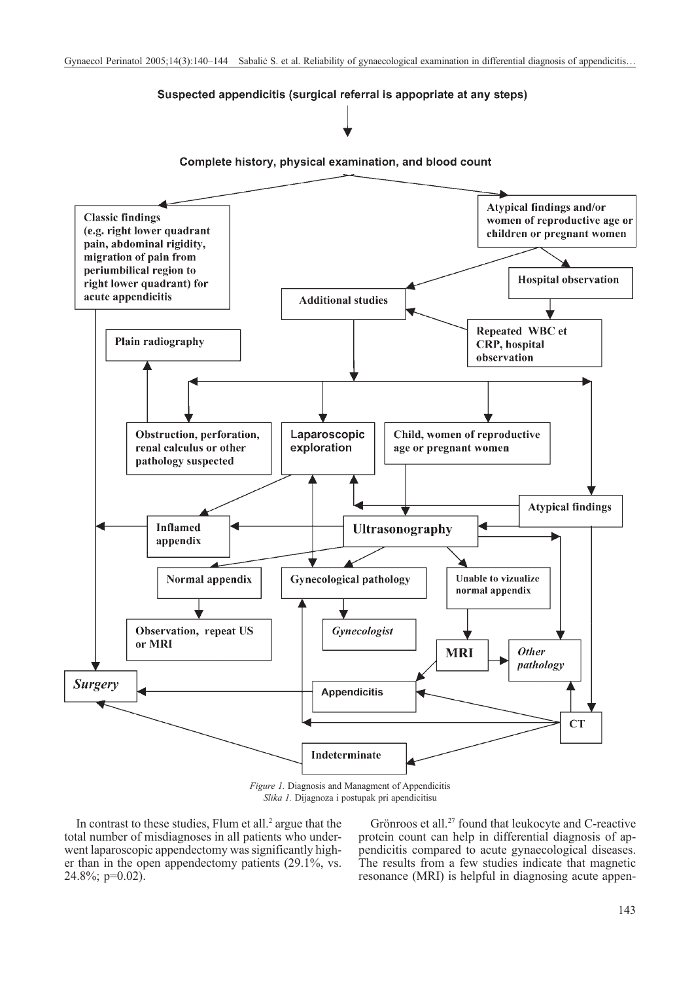#### Suspected appendicitis (surgical referral is appopriate at any steps)

Complete history, physical examination, and blood count



*Slika 1.* Dijagnoza i postupak pri apendicitisu

In contrast to these studies, Flum et all.<sup>2</sup> argue that the total number of misdiagnoses in all patients who underwent laparoscopic appendectomy was significantly higher than in the open appendectomy patients (29.1%, vs.  $24.8\%$ ; p=0.02).

Grönroos et all.<sup>27</sup> found that leukocyte and C-reactive protein count can help in differential diagnosis of appendicitis compared to acute gynaecological diseases. The results from a few studies indicate that magnetic resonance (MRI) is helpful in diagnosing acute appen-